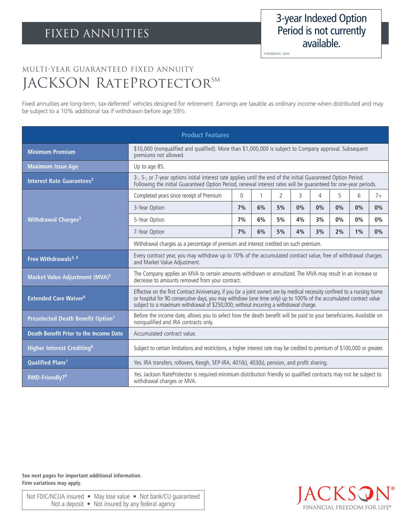CMF24003STK 03/20

## Multi-Year Guaranteed Fixed Annuity JACKSON RATEPROTECTORSM

Fixed annuities are long-term, tax-deferred<sup>1</sup> vehicles designed for retirement. Earnings are taxable as ordinary income when distributed and may be subject to a 10% additional tax if withdrawn before age 59½.

| <b>Product Features</b>                       |                                                                                                                                                                                                                                                                                                                                          |                |    |                |    |    |    |    |      |
|-----------------------------------------------|------------------------------------------------------------------------------------------------------------------------------------------------------------------------------------------------------------------------------------------------------------------------------------------------------------------------------------------|----------------|----|----------------|----|----|----|----|------|
| <b>Minimum Premium</b>                        | \$10,000 (nonqualified and qualified). More than \$1,000,000 is subject to Company approval. Subsequent<br>premiums not allowed.                                                                                                                                                                                                         |                |    |                |    |    |    |    |      |
| <b>Maximum Issue Age</b>                      | Up to age 85.                                                                                                                                                                                                                                                                                                                            |                |    |                |    |    |    |    |      |
| Interest Rate Guarantees <sup>2</sup>         | 3-, 5-, or 7-year options initial interest rate applies until the end of the initial Guaranteed Option Period.<br>Following the initial Guaranteed Option Period, renewal interest rates will be quaranteed for one-year periods.                                                                                                        |                |    |                |    |    |    |    |      |
| Withdrawal Charges <sup>3</sup>               | Completed years since receipt of Premium                                                                                                                                                                                                                                                                                                 | $\overline{0}$ |    | $\overline{2}$ | 3  | 4  | 5  | 6  | $7+$ |
|                                               | 3-Year Option                                                                                                                                                                                                                                                                                                                            | 7%             | 6% | 5%             | 0% | 0% | 0% | 0% | 0%   |
|                                               | 5-Year Option                                                                                                                                                                                                                                                                                                                            | 7%             | 6% | 5%             | 4% | 3% | 0% | 0% | 0%   |
|                                               | 7-Year Option                                                                                                                                                                                                                                                                                                                            | 7%             | 6% | 5%             | 4% | 3% | 2% | 1% | 0%   |
|                                               | Withdrawal charges as a percentage of premium and interest credited on such premium.                                                                                                                                                                                                                                                     |                |    |                |    |    |    |    |      |
| Free Withdrawals <sup>3, 4</sup>              | Every contract year, you may withdraw up to 10% of the accumulated contract value, free of withdrawal charges<br>and Market Value Adjustment.                                                                                                                                                                                            |                |    |                |    |    |    |    |      |
| Market Value Adjustment (MVA) <sup>5</sup>    | The Company applies an MVA to certain amounts withdrawn or annuitized. The MVA may result in an increase or<br>decrease to amounts removed from your contract.                                                                                                                                                                           |                |    |                |    |    |    |    |      |
| <b>Extended Care Waiver<sup>6</sup></b>       | Effective on the first Contract Anniversary, if you (or a joint owner) are by medical necessity confined to a nursing home<br>or hospital for 90 consecutive days, you may withdraw (one time only) up to 100% of the accumulated contract value<br>subject to a maximum withdrawal of \$250,000, without incurring a withdrawal charge. |                |    |                |    |    |    |    |      |
| Preselected Death Benefit Option <sup>7</sup> | Before the income date, allows you to select how the death benefit will be paid to your beneficiaries. Available on<br>nonqualified and IRA contracts only.                                                                                                                                                                              |                |    |                |    |    |    |    |      |
| <b>Death Benefit Prior to the Income Date</b> | Accumulated contract value.                                                                                                                                                                                                                                                                                                              |                |    |                |    |    |    |    |      |
| <b>Higher Interest Crediting<sup>8</sup></b>  | Subject to certain limitations and restrictions, a higher interest rate may be credited to premium of \$100,000 or greater.                                                                                                                                                                                                              |                |    |                |    |    |    |    |      |
| <b>Qualified Plans<sup>1</sup></b>            | Yes. IRA transfers, rollovers, Keogh, SEP-IRA, 401(k), 403(b), pension, and profit sharing.                                                                                                                                                                                                                                              |                |    |                |    |    |    |    |      |
| RMD-Friendly? <sup>9</sup>                    | Yes. Jackson RateProtector is required-minimum-distribution friendly so qualified contracts may not be subject to<br>withdrawal charges or MVA.                                                                                                                                                                                          |                |    |                |    |    |    |    |      |

**See next pages for important additional information. Firm variations may apply.**

Not FDIC/NCUA insured • May lose value • Not bank/CU guaranteed Not a deposit • Not insured by any federal agency

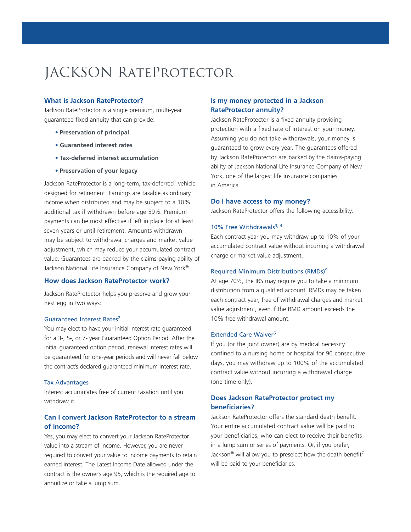# JACKSON RateProtector

#### **What is Jackson RateProtector?**

Jackson RateProtector is a single premium, multi-year guaranteed fixed annuity that can provide:

- **• Preservation of principal**
- **• Guaranteed interest rates**
- **• Tax-deferred interest accumulation**
- **• Preservation of your legacy**

Jackson RateProtector is a long-term, tax-deferred<sup>1</sup> vehicle designed for retirement. Earnings are taxable as ordinary income when distributed and may be subject to a 10% additional tax if withdrawn before age 59½. Premium payments can be most effective if left in place for at least seven years or until retirement. Amounts withdrawn may be subject to withdrawal charges and market value adjustment, which may reduce your accumulated contract value. Guarantees are backed by the claims-paying ability of Jackson National Life Insurance Company of New York®.

#### **How does Jackson RateProtector work?**

Jackson RateProtector helps you preserve and grow your nest egg in two ways:

#### Guaranteed Interest Rates2

You may elect to have your initial interest rate guaranteed for a 3-, 5-, or 7- year Guaranteed Option Period. After the initial guaranteed option period, renewal interest rates will be guaranteed for one-year periods and will never fall below the contract's declared guaranteed minimum interest rate.

#### Tax Advantages

Interest accumulates free of current taxation until you withdraw it.

## **Can I convert Jackson RateProtector to a stream of income?**

Yes, you may elect to convert your Jackson RateProtector value into a stream of income. However, you are never required to convert your value to income payments to retain earned interest. The Latest Income Date allowed under the contract is the owner's age 95, which is the required age to annuitize or take a lump sum.

## **Is my money protected in a Jackson RateProtector annuity?**

Jackson RateProtector is a fixed annuity providing protection with a fixed rate of interest on your money. Assuming you do not take withdrawals, your money is guaranteed to grow every year. The guarantees offered by Jackson RateProtector are backed by the claims-paying ability of Jackson National Life Insurance Company of New York, one of the largest life insurance companies in America.

#### **Do I have access to my money?**

Jackson RateProtector offers the following accessibility:

#### 10% Free Withdrawals<sup>3, 4</sup>

Each contract year you may withdraw up to 10% of your accumulated contract value without incurring a withdrawal charge or market value adjustment.

#### Required Minimum Distributions (RMDs)9

At age 70½, the IRS may require you to take a minimum distribution from a qualified account. RMDs may be taken each contract year, free of withdrawal charges and market value adjustment, even if the RMD amount exceeds the 10% free withdrawal amount.

#### Extended Care Waiver<sup>6</sup>

If you (or the joint owner) are by medical necessity confined to a nursing home or hospital for 90 consecutive days, you may withdraw up to 100% of the accumulated contract value without incurring a withdrawal charge (one time only).

## **Does Jackson RateProtector protect my beneficiaries?**

Jackson RateProtector offers the standard death benefit. Your entire accumulated contract value will be paid to your beneficiaries, who can elect to receive their benefits in a lump sum or series of payments. Or, if you prefer, Jackson® will allow you to preselect how the death benefit7 will be paid to your beneficiaries.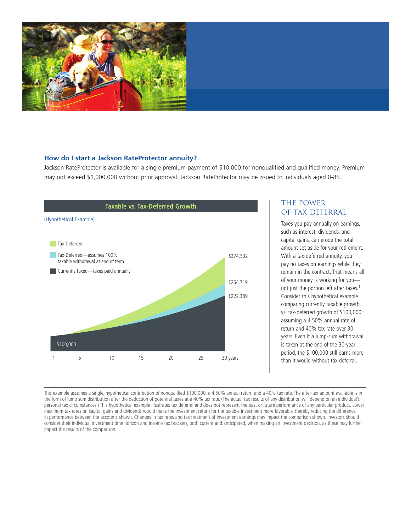

#### **How do I start a Jackson RateProtector annuity?**

Jackson RateProtector is available for a single premium payment of \$10,000 for nonqualified and qualified money. Premium may not exceed \$1,000,000 without prior approval. Jackson RateProtector may be issued to individuals aged 0-85.



## The Power of Tax deferral

Taxes you pay annually on earnings, such as interest, dividends, and capital gains, can erode the total amount set aside for your retirement. With a tax-deferred annuity, you pay no taxes on earnings while they remain in the contract. That means all of your money is working for you not just the portion left after taxes.1 Consider this hypothetical example comparing currently taxable growth vs. tax-deferred growth of \$100,000; assuming a 4.50% annual rate of return and 40% tax rate over 30 years. Even if a lump-sum withdrawal is taken at the end of the 30-year period, the \$100,000 still earns more than it would without tax deferral.

This example assumes a single, hypothetical contribution of nonqualified \$100,000, a 4.50% annual return and a 40% tax rate. The after-tax amount available is in the form of lump sum distribution after the deduction of potential taxes at a 40% tax rate. (The actual tax results of any distribution will depend on an individual's personal tax circumstances.) This hypothetical example illustrates tax deferral and does not represent the past or future performance of any particular product. Lower maximum tax rates on capital gains and dividends would make the investment return for the taxable investment more favorable, thereby reducing the difference in performance between the accounts shown. Changes in tax rates and tax treatment of investment earnings may impact the comparison shown. Investors should consider their individual investment time horizon and income tax brackets, both current and anticipated, when making an investment decision, as these may further impact the results of the comparison.